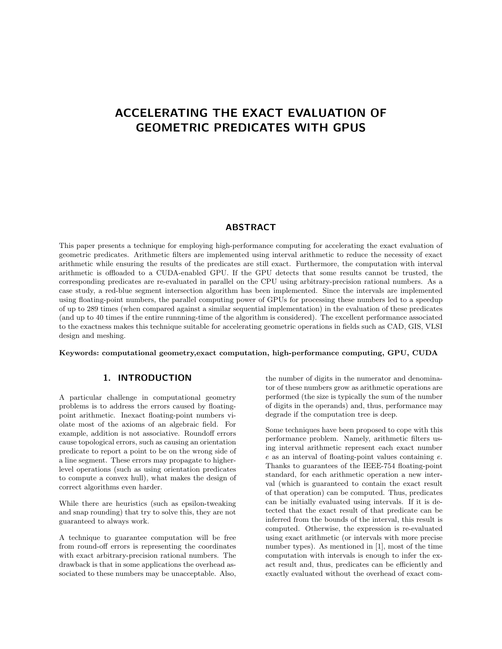# ACCELERATING THE EXACT EVALUATION OF GEOMETRIC PREDICATES WITH GPUS

### ABSTRACT

This paper presents a technique for employing high-performance computing for accelerating the exact evaluation of geometric predicates. Arithmetic filters are implemented using interval arithmetic to reduce the necessity of exact arithmetic while ensuring the results of the predicates are still exact. Furthermore, the computation with interval arithmetic is offloaded to a CUDA-enabled GPU. If the GPU detects that some results cannot be trusted, the corresponding predicates are re-evaluated in parallel on the CPU using arbitrary-precision rational numbers. As a case study, a red-blue segment intersection algorithm has been implemented. Since the intervals are implemented using floating-point numbers, the parallel computing power of GPUs for processing these numbers led to a speedup of up to 289 times (when compared against a similar sequential implementation) in the evaluation of these predicates (and up to 40 times if the entire runnning-time of the algorithm is considered). The excellent performance associated to the exactness makes this technique suitable for accelerating geometric operations in fields such as CAD, GIS, VLSI design and meshing.

Keywords: computational geometry,exact computation, high-performance computing, GPU, CUDA

# 1. INTRODUCTION

A particular challenge in computational geometry problems is to address the errors caused by floatingpoint arithmetic. Inexact floating-point numbers violate most of the axioms of an algebraic field. For example, addition is not associative. Roundoff errors cause topological errors, such as causing an orientation predicate to report a point to be on the wrong side of a line segment. These errors may propagate to higherlevel operations (such as using orientation predicates to compute a convex hull), what makes the design of correct algorithms even harder.

While there are heuristics (such as epsilon-tweaking and snap rounding) that try to solve this, they are not guaranteed to always work.

A technique to guarantee computation will be free from round-off errors is representing the coordinates with exact arbitrary-precision rational numbers. The drawback is that in some applications the overhead associated to these numbers may be unacceptable. Also,

the number of digits in the numerator and denominator of these numbers grow as arithmetic operations are performed (the size is typically the sum of the number of digits in the operands) and, thus, performance may degrade if the computation tree is deep.

Some techniques have been proposed to cope with this performance problem. Namely, arithmetic filters using interval arithmetic represent each exact number e as an interval of floating-point values containing e. Thanks to guarantees of the IEEE-754 floating-point standard, for each arithmetic operation a new interval (which is guaranteed to contain the exact result of that operation) can be computed. Thus, predicates can be initially evaluated using intervals. If it is detected that the exact result of that predicate can be inferred from the bounds of the interval, this result is computed. Otherwise, the expression is re-evaluated using exact arithmetic (or intervals with more precise number types). As mentioned in [1], most of the time computation with intervals is enough to infer the exact result and, thus, predicates can be efficiently and exactly evaluated without the overhead of exact com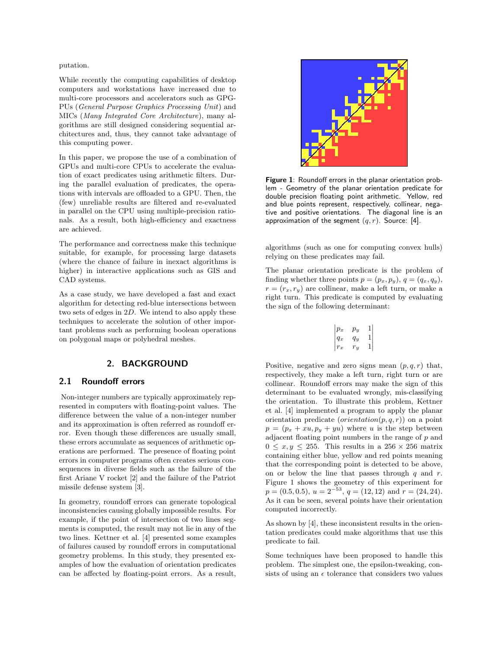putation.

While recently the computing capabilities of desktop computers and workstations have increased due to multi-core processors and accelerators such as GPG-PUs (General Purpose Graphics Processing Unit) and MICs (Many Integrated Core Architecture), many algorithms are still designed considering sequential architectures and, thus, they cannot take advantage of this computing power.

In this paper, we propose the use of a combination of GPUs and multi-core CPUs to accelerate the evaluation of exact predicates using arithmetic filters. During the parallel evaluation of predicates, the operations with intervals are offloaded to a GPU. Then, the (few) unreliable results are filtered and re-evaluated in parallel on the CPU using multiple-precision rationals. As a result, both high-efficiency and exactness are achieved.

The performance and correctness make this technique suitable, for example, for processing large datasets (where the chance of failure in inexact algorithms is higher) in interactive applications such as GIS and CAD systems.

As a case study, we have developed a fast and exact algorithm for detecting red-blue intersections between two sets of edges in 2D. We intend to also apply these techniques to accelerate the solution of other important problems such as performing boolean operations on polygonal maps or polyhedral meshes.

### 2. BACKGROUND

### 2.1 Roundoff errors

Non-integer numbers are typically approximately represented in computers with floating-point values. The difference between the value of a non-integer number and its approximation is often referred as roundoff error. Even though these differences are usually small, these errors accumulate as sequences of arithmetic operations are performed. The presence of floating point errors in computer programs often creates serious consequences in diverse fields such as the failure of the first Ariane V rocket [2] and the failure of the Patriot missile defense system [3].

In geometry, roundoff errors can generate topological inconsistencies causing globally impossible results. For example, if the point of intersection of two lines segments is computed, the result may not lie in any of the two lines. Kettner et al. [4] presented some examples of failures caused by roundoff errors in computational geometry problems. In this study, they presented examples of how the evaluation of orientation predicates can be affected by floating-point errors. As a result,



Figure 1: Roundoff errors in the planar orientation problem - Geometry of the planar orientation predicate for double precision floating point arithmetic. Yellow, red and blue points represent, respectively, collinear, negative and positive orientations. The diagonal line is an approximation of the segment  $(q, r)$ . Source: [4].

algorithms (such as one for computing convex hulls) relying on these predicates may fail.

The planar orientation predicate is the problem of finding whether three points  $p = (p_x, p_y), q = (q_x, q_y),$  $r = (r_x, r_y)$  are collinear, make a left turn, or make a right turn. This predicate is computed by evaluating the sign of the following determinant:

$$
\begin{vmatrix} p_x & p_y & 1 \ q_x & q_y & 1 \ r_x & r_y & 1 \end{vmatrix}
$$

Positive, negative and zero signs mean  $(p, q, r)$  that, respectively, they make a left turn, right turn or are collinear. Roundoff errors may make the sign of this determinant to be evaluated wrongly, mis-classifying the orientation. To illustrate this problem, Kettner et al. [4] implemented a program to apply the planar orientation predicate  $(orientation(p, q, r))$  on a point  $p = (p_x + xu, p_y + yu)$  where u is the step between adjacent floating point numbers in the range of  $p$  and  $0 \leq x, y \leq 255$ . This results in a 256 × 256 matrix containing either blue, yellow and red points meaning that the corresponding point is detected to be above, on or below the line that passes through  $q$  and  $r$ . Figure 1 shows the geometry of this experiment for  $p = (0.5, 0.5), u = 2^{-53}, q = (12, 12) \text{ and } r = (24, 24).$ As it can be seen, several points have their orientation computed incorrectly.

As shown by [4], these inconsistent results in the orientation predicates could make algorithms that use this predicate to fail.

Some techniques have been proposed to handle this problem. The simplest one, the epsilon-tweaking, consists of using an  $\epsilon$  tolerance that considers two values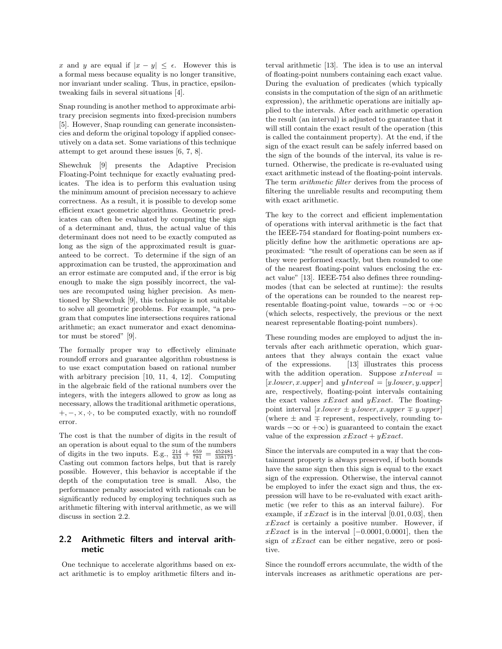x and y are equal if  $|x - y| \leq \epsilon$ . However this is a formal mess because equality is no longer transitive, nor invariant under scaling. Thus, in practice, epsilontweaking fails in several situations [4].

Snap rounding is another method to approximate arbitrary precision segments into fixed-precision numbers [5]. However, Snap rounding can generate inconsistencies and deform the original topology if applied consecutively on a data set. Some variations of this technique attempt to get around these issues [6, 7, 8].

Shewchuk [9] presents the Adaptive Precision Floating-Point technique for exactly evaluating predicates. The idea is to perform this evaluation using the minimum amount of precision necessary to achieve correctness. As a result, it is possible to develop some efficient exact geometric algorithms. Geometric predicates can often be evaluated by computing the sign of a determinant and, thus, the actual value of this determinant does not need to be exactly computed as long as the sign of the approximated result is guaranteed to be correct. To determine if the sign of an approximation can be trusted, the approximation and an error estimate are computed and, if the error is big enough to make the sign possibly incorrect, the values are recomputed using higher precision. As mentioned by Shewchuk [9], this technique is not suitable to solve all geometric problems. For example, "a program that computes line intersections requires rational arithmetic; an exact numerator and exact denominator must be stored" [9].

The formally proper way to effectively eliminate roundoff errors and guarantee algorithm robustness is to use exact computation based on rational number with arbitrary precision [10, 11, 4, 12]. Computing in the algebraic field of the rational numbers over the integers, with the integers allowed to grow as long as necessary, allows the traditional arithmetic operations,  $+, -, \times, \div,$  to be computed exactly, with no roundoff error.

The cost is that the number of digits in the result of an operation is about equal to the sum of the numbers of digits in the two inputs. E.g.,  $\frac{214}{433} + \frac{659}{781} = \frac{452481}{338173}$ . Casting out common factors helps, but that is rarely possible. However, this behavior is acceptable if the depth of the computation tree is small. Also, the performance penalty associated with rationals can be significantly reduced by employing techniques such as arithmetic filtering with interval arithmetic, as we will discuss in section 2.2.

# 2.2 Arithmetic filters and interval arithmetic

One technique to accelerate algorithms based on exact arithmetic is to employ arithmetic filters and interval arithmetic [13]. The idea is to use an interval of floating-point numbers containing each exact value. During the evaluation of predicates (which typically consists in the computation of the sign of an arithmetic expression), the arithmetic operations are initially applied to the intervals. After each arithmetic operation the result (an interval) is adjusted to guarantee that it will still contain the exact result of the operation (this is called the containment property). At the end, if the sign of the exact result can be safely inferred based on the sign of the bounds of the interval, its value is returned. Otherwise, the predicate is re-evaluated using exact arithmetic instead of the floating-point intervals. The term arithmetic filter derives from the process of filtering the unreliable results and recomputing them with exact arithmetic.

The key to the correct and efficient implementation of operations with interval arithmetic is the fact that the IEEE-754 standard for floating-point numbers explicitly define how the arithmetic operations are approximated: "the result of operations can be seen as if they were performed exactly, but then rounded to one of the nearest floating-point values enclosing the exact value" [13]. IEEE-754 also defines three roundingmodes (that can be selected at runtime): the results of the operations can be rounded to the nearest representable floating-point value, towards  $-\infty$  or  $+\infty$ (which selects, respectively, the previous or the next nearest representable floating-point numbers).

These rounding modes are employed to adjust the intervals after each arithmetic operation, which guarantees that they always contain the exact value of the expressions. [13] illustrates this process with the addition operation. Suppose  $xInterval =$  $[x.lower, x.upper]$  and  $yInterval = [y.lower, y.upper]$ are, respectively, floating-point intervals containing the exact values  $xExact$  and  $yExact$ . The floatingpoint interval  $[x.lower \pm y.lower, x.upper \mp y.upper]$ (where  $\pm$  and  $\mp$  represent, respectively, rounding towards  $-\infty$  or  $+\infty$ ) is guaranteed to contain the exact value of the expression  $xExact + yExact$ .

Since the intervals are computed in a way that the containment property is always preserved, if both bounds have the same sign then this sign is equal to the exact sign of the expression. Otherwise, the interval cannot be employed to infer the exact sign and thus, the expression will have to be re-evaluated with exact arithmetic (we refer to this as an interval failure). For example, if  $xExact$  is in the interval [0.01, 0.03], then  $xExact$  is certainly a positive number. However, if  $xExact$  is in the interval  $[-0.0001, 0.0001]$ , then the sign of xExact can be either negative, zero or positive.

Since the roundoff errors accumulate, the width of the intervals increases as arithmetic operations are per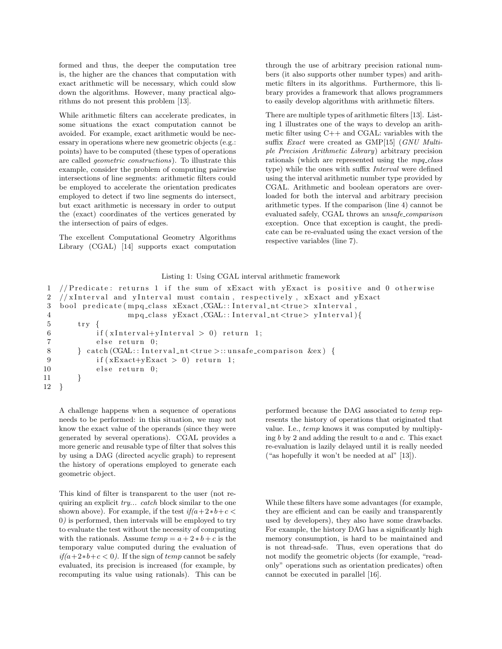formed and thus, the deeper the computation tree is, the higher are the chances that computation with exact arithmetic will be necessary, which could slow down the algorithms. However, many practical algorithms do not present this problem [13].

While arithmetic filters can accelerate predicates, in some situations the exact computation cannot be avoided. For example, exact arithmetic would be necessary in operations where new geometric objects (e.g.: points) have to be computed (these types of operations are called geometric constructions). To illustrate this example, consider the problem of computing pairwise intersections of line segments: arithmetic filters could be employed to accelerate the orientation predicates employed to detect if two line segments do intersect, but exact arithmetic is necessary in order to output the (exact) coordinates of the vertices generated by the intersection of pairs of edges.

The excellent Computational Geometry Algorithms Library (CGAL) [14] supports exact computation through the use of arbitrary precision rational numbers (it also supports other number types) and arithmetic filters in its algorithms. Furthermore, this library provides a framework that allows programmers to easily develop algorithms with arithmetic filters.

There are multiple types of arithmetic filters [13]. Listing 1 illustrates one of the ways to develop an arithmetic filter using C++ and CGAL: variables with the suffix *Exact* were created as GMP[15] (GNU Multiple Precision Arithmetic Library) arbitrary precision rationals (which are represented using the  $mpq$ -class type) while the ones with suffix Interval were defined using the interval arithmetic number type provided by CGAL. Arithmetic and boolean operators are overloaded for both the interval and arbitrary precision arithmetic types. If the comparison (line 4) cannot be evaluated safely, CGAL throws an unsafe\_comparison exception. Once that exception is caught, the predicate can be re-evaluated using the exact version of the respective variables (line 7).

#### Listing 1: Using CGAL interval arithmetic framework

```
1 // Predicate: returns 1 if the sum of xExact with yExact is positive and 0 otherwise
2 // x Interval and y Interval must contain, respectively, x Exact and y Exact
3 bool predicate (mpq_class xExact, CGAL: : Interval_nt <true> xInterval,
4 mpq_class yExact,CGAL::Interval_nt<true> yInterval){
5 try {
6 if (xInterval+yInterval > 0) return 1;
7 else return 0;
8 } catch (CGAL: : Interval_nt <true >:: unsafe_comparison &ex) {
9 if (xExact+yExact > 0) return 1;
10 else return 0;
11 }
12 }
```
A challenge happens when a sequence of operations needs to be performed: in this situation, we may not know the exact value of the operands (since they were generated by several operations). CGAL provides a more generic and reusable type of filter that solves this by using a DAG (directed acyclic graph) to represent the history of operations employed to generate each geometric object.

This kind of filter is transparent to the user (not requiring an explicit try... catch block similar to the one shown above). For example, if the test  $if(a+2*b+c$ 0) is performed, then intervals will be employed to try to evaluate the test without the necessity of computing with the rationals. Assume  $temp = a + 2 * b + c$  is the temporary value computed during the evaluation of if(a+2∗b+c < 0). If the sign of temp cannot be safely evaluated, its precision is increased (for example, by recomputing its value using rationals). This can be

performed because the DAG associated to temp represents the history of operations that originated that value. I.e., temp knows it was computed by multiplying  $b$  by 2 and adding the result to  $a$  and  $c$ . This exact re-evaluation is lazily delayed until it is really needed ("as hopefully it won't be needed at al" [13]).

While these filters have some advantages (for example, they are efficient and can be easily and transparently used by developers), they also have some drawbacks. For example, the history DAG has a significantly high memory consumption, is hard to be maintained and is not thread-safe. Thus, even operations that do not modify the geometric objects (for example, "readonly" operations such as orientation predicates) often cannot be executed in parallel [16].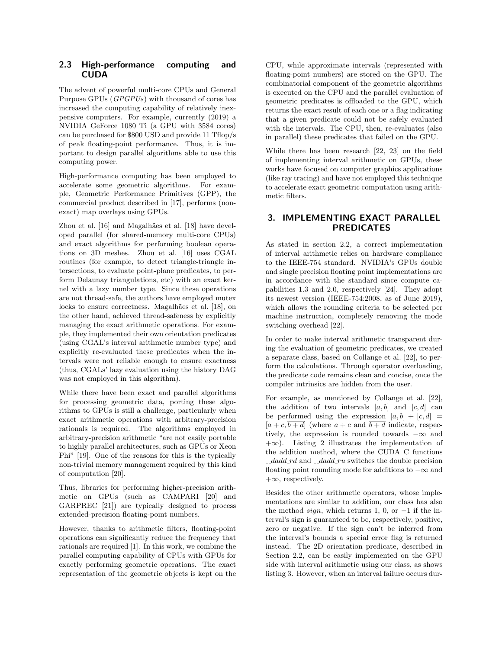# 2.3 High-performance computing and **CUDA**

The advent of powerful multi-core CPUs and General Purpose GPUs (GPGPUs) with thousand of cores has increased the computing capability of relatively inexpensive computers. For example, currently (2019) a NVIDIA GeForce 1080 Ti (a GPU with 3584 cores) can be purchased for \$800 USD and provide 11 Tflop/s of peak floating-point performance. Thus, it is important to design parallel algorithms able to use this computing power.

High-performance computing has been employed to accelerate some geometric algorithms. For example, Geometric Performance Primitives (GPP), the commercial product described in [17], performs (nonexact) map overlays using GPUs.

Zhou et al. [16] and Magalhães et al. [18] have developed parallel (for shared-memory multi-core CPUs) and exact algorithms for performing boolean operations on 3D meshes. Zhou et al. [16] uses CGAL routines (for example, to detect triangle-triangle intersections, to evaluate point-plane predicates, to perform Delaunay triangulations, etc) with an exact kernel with a lazy number type. Since these operations are not thread-safe, the authors have employed mutex locks to ensure correctness. Magalhães et al. [18], on the other hand, achieved thread-safeness by explicitly managing the exact arithmetic operations. For example, they implemented their own orientation predicates (using CGAL's interval arithmetic number type) and explicitly re-evaluated these predicates when the intervals were not reliable enough to ensure exactness (thus, CGALs' lazy evaluation using the history DAG was not employed in this algorithm).

While there have been exact and parallel algorithms for processing geometric data, porting these algorithms to GPUs is still a challenge, particularly when exact arithmetic operations with arbitrary-precision rationals is required. The algorithms employed in arbitrary-precision arithmetic "are not easily portable to highly parallel architectures, such as GPUs or Xeon Phi" [19]. One of the reasons for this is the typically non-trivial memory management required by this kind of computation [20].

Thus, libraries for performing higher-precision arithmetic on GPUs (such as CAMPARI [20] and GARPREC [21]) are typically designed to process extended-precision floating-point numbers.

However, thanks to arithmetic filters, floating-point operations can significantly reduce the frequency that rationals are required [1]. In this work, we combine the parallel computing capability of CPUs with GPUs for exactly performing geometric operations. The exact representation of the geometric objects is kept on the CPU, while approximate intervals (represented with floating-point numbers) are stored on the GPU. The combinatorial component of the geometric algorithms is executed on the CPU and the parallel evaluation of geometric predicates is offloaded to the GPU, which returns the exact result of each one or a flag indicating that a given predicate could not be safely evaluated with the intervals. The CPU, then, re-evaluates (also in parallel) these predicates that failed on the GPU.

While there has been research [22, 23] on the field of implementing interval arithmetic on GPUs, these works have focused on computer graphics applications (like ray tracing) and have not employed this technique to accelerate exact geometric computation using arithmetic filters.

# 3. IMPLEMENTING EXACT PARALLEL PREDICATES

As stated in section 2.2, a correct implementation of interval arithmetic relies on hardware compliance to the IEEE-754 standard. NVIDIA's GPUs double and single precision floating point implementations are in accordance with the standard since compute capabilities 1.3 and 2.0, respectively [24]. They adopt its newest version (IEEE-754:2008, as of June 2019), which allows the rounding criteria to be selected per machine instruction, completely removing the mode switching overhead [22].

In order to make interval arithmetic transparent during the evaluation of geometric predicates, we created a separate class, based on Collange et al. [22], to perform the calculations. Through operator overloading, the predicate code remains clean and concise, once the compiler intrinsics are hidden from the user.

For example, as mentioned by Collange et al. [22], the addition of two intervals  $[a, b]$  and  $[c, d]$  can be performed using the expression  $[a, b] + [c, d] =$  $[a + c, \overline{b + d}]$  (where  $a + c$  and  $\overline{b + d}$  indicate, respectively, the expression is rounded towards  $-\infty$  and  $+\infty$ ). Listing 2 illustrates the implementation of the addition method, where the CUDA C functions  $-dadd\_rd$  and  $-dadd\_ru$  switches the double precision floating point rounding mode for additions to  $-\infty$  and +∞, respectively.

Besides the other arithmetic operators, whose implementations are similar to addition, our class has also the method *sign*, which returns 1, 0, or  $-1$  if the interval's sign is guaranteed to be, respectively, positive, zero or negative. If the sign can't be inferred from the interval's bounds a special error flag is returned instead. The 2D orientation predicate, described in Section 2.2, can be easily implemented on the GPU side with interval arithmetic using our class, as shows listing 3. However, when an interval failure occurs dur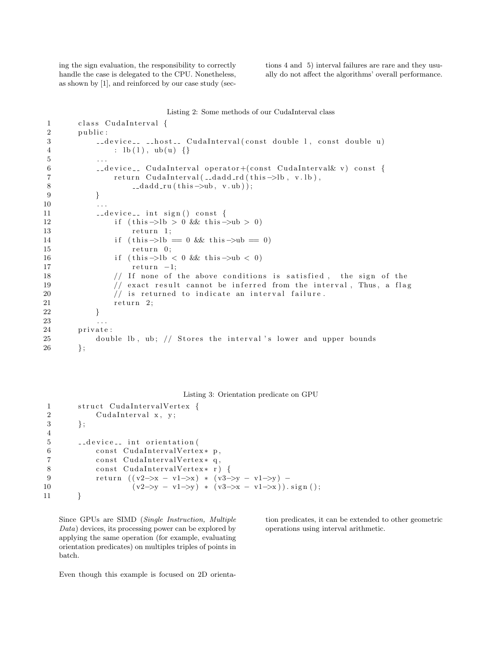ing the sign evaluation, the responsibility to correctly handle the case is delegated to the CPU. Nonetheless, as shown by [1], and reinforced by our case study (sections 4 and 5) interval failures are rare and they usually do not affect the algorithms' overall performance.

#### Listing 2: Some methods of our CudaInterval class

```
1 class CudaInterval {
 2 public:
3 device<sub>--</sub> --host-- CudaInterval (const double 1, const double u)
4 : \text{lb} (1), \text{ub} (\text{u}) {}
5 \qquad \qquad \ldots6 d evice_ CudaInterval operator+(const CudaInterval& v) const {
7 return CudaInterval(__dadd_rd(this ->lb, v.lb),
8 \qquad \qquad \text{--} \text{d} \text{add} \text{--} \text{ru} \left( \text{this} \rightarrow \text{ub}, \text{ v.} \text{ub} \right);
 9 }
1011 \qquad \qquad \text{--} \text{device} = \text{int sign}() \text{const} \text{ } \{12 if (this \rightarrow lb > 0 \& this \rightarrow ub > 0)13 return 1;
14 if (this \rightarrow lb = 0 \& this \rightarrow ub = 0)15 return 0;
16 if (this \rightarrow lb < 0 \&amp; this \rightarrow ub < 0)17 return -1;
18 // If none of the above conditions is satisfied, the sign of the
19 \frac{1}{2} exact result cannot be inferred from the interval, Thus, a flag
20 \frac{1}{\sqrt{2}} is returned to indicate an interval failure.
21 return 2;
22 }
23 . . .
24 private:
25 double lb, ub; // Stores the interval's lower and upper bounds
26 };
```
Listing 3: Orientation predicate on GPU

```
1 struct CudaIntervalVertex {
2 CudaInterval x, y;
3 \qquad \};
4
5 device<sub>--</sub> int orientation (
6 const CudaIntervalVertex* p,
7 const CudaIntervalVertex* q,
8 const CudaIntervalVertex * r) {
9 return ((v2 \rightarrow x - v1 \rightarrow x) * (v3 \rightarrow y - v1 \rightarrow y) -10 (v2 \rightarrow y - v1 \rightarrow y) * (v3 \rightarrow x - v1 \rightarrow x)). sign ();
11 }
```
Since GPUs are SIMD (Single Instruction, Multiple Data) devices, its processing power can be explored by applying the same operation (for example, evaluating orientation predicates) on multiples triples of points in batch.

tion predicates, it can be extended to other geometric operations using interval arithmetic.

Even though this example is focused on 2D orienta-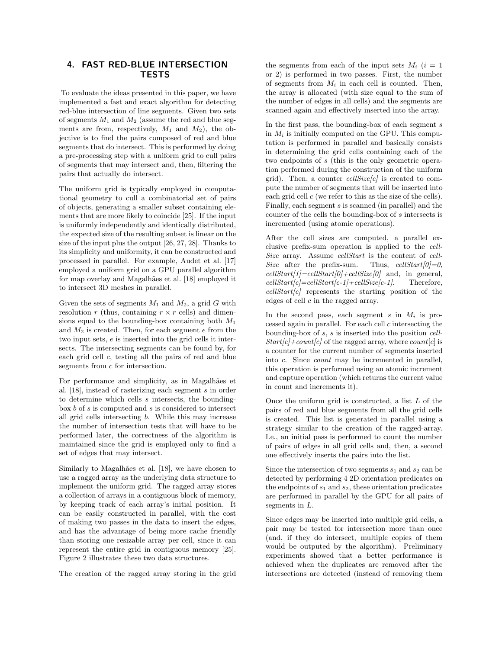# 4. FAST RED-BLUE INTERSECTION TESTS

To evaluate the ideas presented in this paper, we have implemented a fast and exact algorithm for detecting red-blue intersection of line segments. Given two sets of segments  $M_1$  and  $M_2$  (assume the red and blue segments are from, respectively,  $M_1$  and  $M_2$ ), the objective is to find the pairs composed of red and blue segments that do intersect. This is performed by doing a pre-processing step with a uniform grid to cull pairs of segments that may intersect and, then, filtering the pairs that actually do intersect.

The uniform grid is typically employed in computational geometry to cull a combinatorial set of pairs of objects, generating a smaller subset containing elements that are more likely to coincide [25]. If the input is uniformly independently and identically distributed, the expected size of the resulting subset is linear on the size of the input plus the output [26, 27, 28]. Thanks to its simplicity and uniformity, it can be constructed and processed in parallel. For example, Audet et al. [17] employed a uniform grid on a GPU parallel algorithm for map overlay and Magalhães et al. [18] employed it to intersect 3D meshes in parallel.

Given the sets of segments  $M_1$  and  $M_2$ , a grid G with resolution r (thus, containing  $r \times r$  cells) and dimensions equal to the bounding-box containing both  $M_1$ and  $M_2$  is created. Then, for each segment  $e$  from the two input sets, e is inserted into the grid cells it intersects. The intersecting segments can be found by, for each grid cell c, testing all the pairs of red and blue segments from  $\boldsymbol{c}$  for intersection.

For performance and simplicity, as in Magalhães et al. [18], instead of rasterizing each segment s in order to determine which cells s intersects, the boundingbox  $b$  of  $s$  is computed and  $s$  is considered to intersect all grid cells intersecting b. While this may increase the number of intersection tests that will have to be performed later, the correctness of the algorithm is maintained since the grid is employed only to find a set of edges that may intersect.

Similarly to Magalhães et al. [18], we have chosen to use a ragged array as the underlying data structure to implement the uniform grid. The ragged array stores a collection of arrays in a contiguous block of memory, by keeping track of each array's initial position. It can be easily constructed in parallel, with the cost of making two passes in the data to insert the edges, and has the advantage of being more cache friendly than storing one resizable array per cell, since it can represent the entire grid in contiguous memory [25]. Figure 2 illustrates these two data structures.

The creation of the ragged array storing in the grid

the segments from each of the input sets  $M_i$  (i = 1) or 2) is performed in two passes. First, the number of segments from  $M_i$  in each cell is counted. Then, the array is allocated (with size equal to the sum of the number of edges in all cells) and the segments are scanned again and effectively inserted into the array.

In the first pass, the bounding-box of each segment  $s$ in  $M_i$  is initially computed on the GPU. This computation is performed in parallel and basically consists in determining the grid cells containing each of the two endpoints of s (this is the only geometric operation performed during the construction of the uniform grid). Then, a counter  $cellSize[c]$  is created to compute the number of segments that will be inserted into each grid cell  $c$  (we refer to this as the size of the cells). Finally, each segment s is scanned (in parallel) and the counter of the cells the bounding-box of s intersects is incremented (using atomic operations).

After the cell sizes are computed, a parallel exclusive prefix-sum operation is applied to the cell-Size array. Assume cellStart is the content of cell-Size after the prefix-sum. Thus,  $cellStart[0]=0$ ,  $cellStart[1] = cellStart[0] + cellSize[0]$  and, in general,  $cellStart[c] = cellStart[c-1] + cellSize[c-1].$  Therefore,  $cellStart[c]$  represents the starting position of the edges of cell c in the ragged array.

In the second pass, each segment  $s$  in  $M_i$  is processed again in parallel. For each cell c intersecting the bounding-box of s, s is inserted into the position cell- $Start[c] + count[c]$  of the ragged array, where count[c] is a counter for the current number of segments inserted into c. Since count may be incremented in parallel, this operation is performed using an atomic increment and capture operation (which returns the current value in count and increments it).

Once the uniform grid is constructed, a list  $L$  of the pairs of red and blue segments from all the grid cells is created. This list is generated in parallel using a strategy similar to the creation of the ragged-array. I.e., an initial pass is performed to count the number of pairs of edges in all grid cells and, then, a second one effectively inserts the pairs into the list.

Since the intersection of two segments  $s_1$  and  $s_2$  can be detected by performing 4 2D orientation predicates on the endpoints of  $s_1$  and  $s_2$ , these orientation predicates are performed in parallel by the GPU for all pairs of segments in L.

Since edges may be inserted into multiple grid cells, a pair may be tested for intersection more than once (and, if they do intersect, multiple copies of them would be outputed by the algorithm). Preliminary experiments showed that a better performance is achieved when the duplicates are removed after the intersections are detected (instead of removing them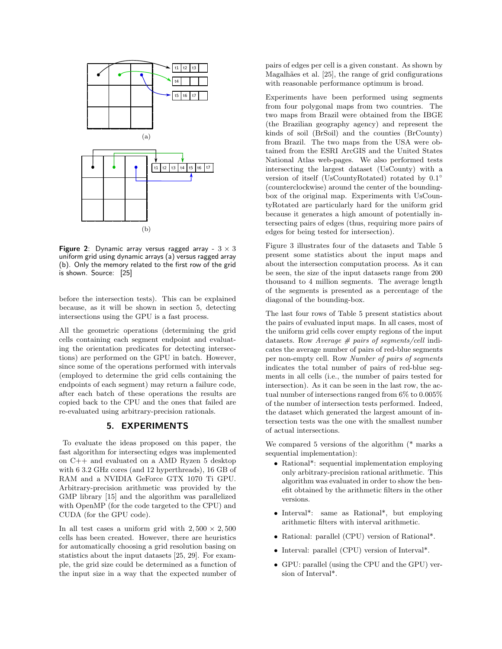

Figure 2: Dynamic array versus ragged array -  $3 \times 3$ uniform grid using dynamic arrays (a) versus ragged array (b). Only the memory related to the first row of the grid is shown. Source: [25]

before the intersection tests). This can be explained because, as it will be shown in section 5, detecting intersections using the GPU is a fast process.

All the geometric operations (determining the grid cells containing each segment endpoint and evaluating the orientation predicates for detecting intersections) are performed on the GPU in batch. However, since some of the operations performed with intervals (employed to determine the grid cells containing the endpoints of each segment) may return a failure code, after each batch of these operations the results are copied back to the CPU and the ones that failed are re-evaluated using arbitrary-precision rationals.

### 5. EXPERIMENTS

To evaluate the ideas proposed on this paper, the fast algorithm for intersecting edges was implemented on C++ and evaluated on a AMD Ryzen 5 desktop with 6 3.2 GHz cores (and 12 hyperthreads), 16 GB of RAM and a NVIDIA GeForce GTX 1070 Ti GPU. Arbitrary-precision arithmetic was provided by the GMP library [15] and the algorithm was parallelized with OpenMP (for the code targeted to the CPU) and CUDA (for the GPU code).

In all test cases a uniform grid with  $2,500 \times 2,500$ cells has been created. However, there are heuristics for automatically choosing a grid resolution basing on statistics about the input datasets [25, 29]. For example, the grid size could be determined as a function of the input size in a way that the expected number of pairs of edges per cell is a given constant. As shown by Magalhães et al. [25], the range of grid configurations with reasonable performance optimum is broad.

Experiments have been performed using segments from four polygonal maps from two countries. The two maps from Brazil were obtained from the IBGE (the Brazilian geography agency) and represent the kinds of soil (BrSoil) and the counties (BrCounty) from Brazil. The two maps from the USA were obtained from the ESRI ArcGIS and the United States National Atlas web-pages. We also performed tests intersecting the largest dataset (UsCounty) with a version of itself (UsCountyRotated) rotated by  $0.1^{\circ}$ (counterclockwise) around the center of the boundingbox of the original map. Experiments with UsCountyRotated are particularly hard for the uniform grid because it generates a high amount of potentially intersecting pairs of edges (thus, requiring more pairs of edges for being tested for intersection).

Figure 3 illustrates four of the datasets and Table 5 present some statistics about the input maps and about the intersection computation process. As it can be seen, the size of the input datasets range from 200 thousand to 4 million segments. The average length of the segments is presented as a percentage of the diagonal of the bounding-box.

The last four rows of Table 5 present statistics about the pairs of evaluated input maps. In all cases, most of the uniform grid cells cover empty regions of the input datasets. Row Average  $# \text{ pairs of segments}/cell$  indicates the average number of pairs of red-blue segments per non-empty cell. Row Number of pairs of segments indicates the total number of pairs of red-blue segments in all cells (i.e., the number of pairs tested for intersection). As it can be seen in the last row, the actual number of intersections ranged from 6% to 0.005% of the number of intersection tests performed. Indeed, the dataset which generated the largest amount of intersection tests was the one with the smallest number of actual intersections.

We compared 5 versions of the algorithm (\* marks a sequential implementation):

- Rational\*: sequential implementation employing only arbitrary-precision rational arithmetic. This algorithm was evaluated in order to show the benefit obtained by the arithmetic filters in the other versions.
- Interval\*: same as Rational\*, but employing arithmetic filters with interval arithmetic.
- Rational: parallel (CPU) version of Rational\*.
- Interval: parallel (CPU) version of Interval\*.
- GPU: parallel (using the CPU and the GPU) version of Interval\*.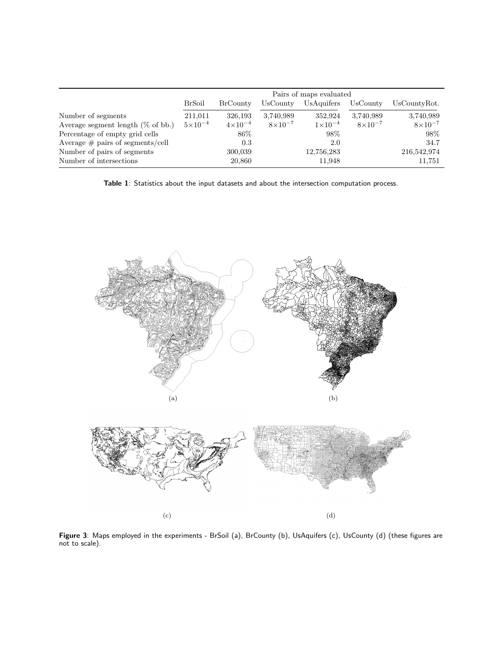|                                      | Pairs of maps evaluated |                    |                    |                    |                    |                  |  |  |  |
|--------------------------------------|-------------------------|--------------------|--------------------|--------------------|--------------------|------------------|--|--|--|
|                                      | <b>BrSoil</b>           | <b>BrCounty</b>    | UsCounty           | UsAquifers         | UsCounty           | UsCountyRot.     |  |  |  |
| Number of segments                   | 211,011                 | 326,193            | 3,740,989          | 352,924            | 3,740,989          | 3,740,989        |  |  |  |
| Average segment length $(\%$ of bb.) | $5 \times 10^{-4}$      | $4 \times 10^{-4}$ | $8 \times 10^{-7}$ | $1 \times 10^{-4}$ | $8 \times 10^{-7}$ | $8\times10^{-7}$ |  |  |  |
| Percentage of empty grid cells       |                         | 86\%               |                    | 98%                |                    | 98\%             |  |  |  |
| Average $\#$ pairs of segments/cell  |                         | 0.3                |                    | 2.0                |                    | 34.7             |  |  |  |
| Number of pairs of segments          |                         | 300,039            |                    | 12,756,283         |                    | 216,542,974      |  |  |  |
| Number of intersections              |                         | 20,860             |                    | 11,948             |                    | 11,751           |  |  |  |

Table 1: Statistics about the input datasets and about the intersection computation process.





Figure 3: Maps employed in the experiments - BrSoil (a), BrCounty (b), UsAquifers (c), UsCounty (d) (these figures are not to scale).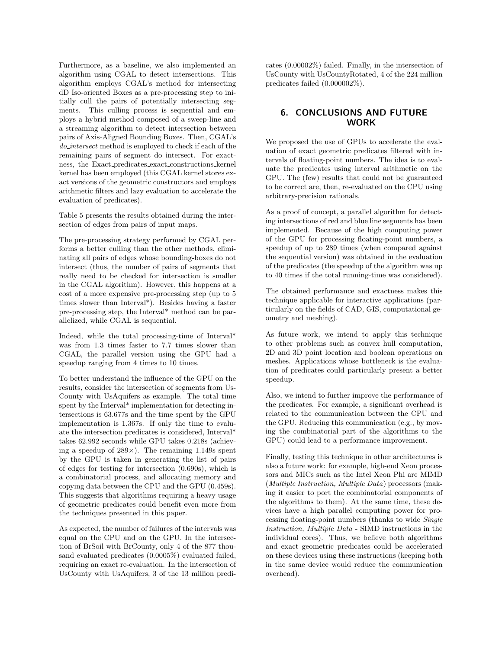Furthermore, as a baseline, we also implemented an algorithm using CGAL to detect intersections. This algorithm employs CGAL's method for intersecting dD Iso-oriented Boxes as a pre-processing step to initially cull the pairs of potentially intersecting segments. This culling process is sequential and employs a hybrid method composed of a sweep-line and a streaming algorithm to detect intersection between pairs of Axis-Aligned Bounding Boxes. Then, CGAL's do intersect method is employed to check if each of the remaining pairs of segment do intersect. For exactness, the Exact predicates exact constructions kernel kernel has been employed (this CGAL kernel stores exact versions of the geometric constructors and employs arithmetic filters and lazy evaluation to accelerate the evaluation of predicates).

Table 5 presents the results obtained during the intersection of edges from pairs of input maps.

The pre-processing strategy performed by CGAL performs a better culling than the other methods, eliminating all pairs of edges whose bounding-boxes do not intersect (thus, the number of pairs of segments that really need to be checked for intersection is smaller in the CGAL algorithm). However, this happens at a cost of a more expensive pre-processing step (up to 5 times slower than Interval\*). Besides having a faster pre-processing step, the Interval\* method can be parallelized, while CGAL is sequential.

Indeed, while the total processing-time of Interval\* was from 1.3 times faster to 7.7 times slower than CGAL, the parallel version using the GPU had a speedup ranging from 4 times to 10 times.

To better understand the influence of the GPU on the results, consider the intersection of segments from Us-County with UsAquifers as example. The total time spent by the Interval\* implementation for detecting intersections is 63.677s and the time spent by the GPU implementation is 1.367s. If only the time to evaluate the intersection predicates is considered, Interval\* takes 62.992 seconds while GPU takes 0.218s (achieving a speedup of  $289\times$ ). The remaining 1.149s spent by the GPU is taken in generating the list of pairs of edges for testing for intersection (0.690s), which is a combinatorial process, and allocating memory and copying data between the CPU and the GPU (0.459s). This suggests that algorithms requiring a heavy usage of geometric predicates could benefit even more from the techniques presented in this paper.

As expected, the number of failures of the intervals was equal on the CPU and on the GPU. In the intersection of BrSoil with BrCounty, only 4 of the 877 thousand evaluated predicates (0.0005%) evaluated failed, requiring an exact re-evaluation. In the intersection of UsCounty with UsAquifers, 3 of the 13 million predicates (0.00002%) failed. Finally, in the intersection of UsCounty with UsCountyRotated, 4 of the 224 million predicates failed (0.000002%).

## 6. CONCLUSIONS AND FUTURE WORK

We proposed the use of GPUs to accelerate the evaluation of exact geometric predicates filtered with intervals of floating-point numbers. The idea is to evaluate the predicates using interval arithmetic on the GPU. The (few) results that could not be guaranteed to be correct are, then, re-evaluated on the CPU using arbitrary-precision rationals.

As a proof of concept, a parallel algorithm for detecting intersections of red and blue line segments has been implemented. Because of the high computing power of the GPU for processing floating-point numbers, a speedup of up to 289 times (when compared against the sequential version) was obtained in the evaluation of the predicates (the speedup of the algorithm was up to 40 times if the total running-time was considered).

The obtained performance and exactness makes this technique applicable for interactive applications (particularly on the fields of CAD, GIS, computational geometry and meshing).

As future work, we intend to apply this technique to other problems such as convex hull computation, 2D and 3D point location and boolean operations on meshes. Applications whose bottleneck is the evaluation of predicates could particularly present a better speedup.

Also, we intend to further improve the performance of the predicates. For example, a significant overhead is related to the communication between the CPU and the GPU. Reducing this communication (e.g., by moving the combinatorial part of the algorithms to the GPU) could lead to a performance improvement.

Finally, testing this technique in other architectures is also a future work: for example, high-end Xeon processors and MICs such as the Intel Xeon Phi are MIMD (Multiple Instruction, Multiple Data) processors (making it easier to port the combinatorial components of the algorithms to them). At the same time, these devices have a high parallel computing power for processing floating-point numbers (thanks to wide Single Instruction, Multiple Data - SIMD instructions in the individual cores). Thus, we believe both algorithms and exact geometric predicates could be accelerated on these devices using these instructions (keeping both in the same device would reduce the communication overhead).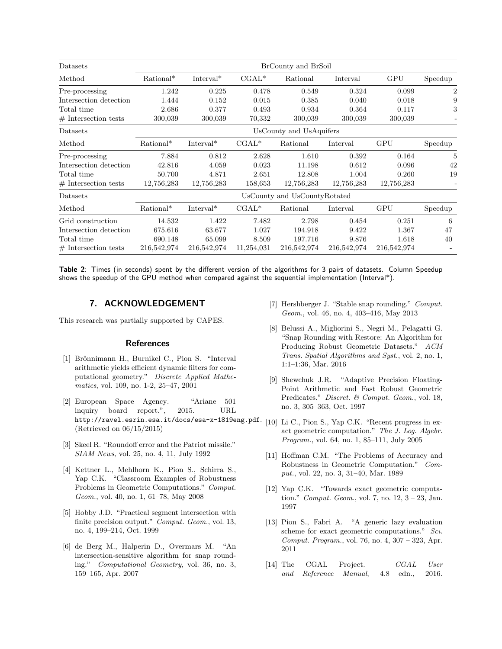| Datasets               | BrCounty and BrSoil          |                       |            |             |             |             |                |  |  |  |  |
|------------------------|------------------------------|-----------------------|------------|-------------|-------------|-------------|----------------|--|--|--|--|
| Method                 | Rational*                    | $Interval*$           | $CGAL*$    | Rational    | Interval    | GPU         | Speedup        |  |  |  |  |
| Pre-processing         | 1.242                        | 0.225                 | 0.478      | 0.549       | 0.324       | 0.099       | $\overline{2}$ |  |  |  |  |
| Intersection detection | 1.444                        | 0.152                 | 0.015      | 0.385       | 0.040       | 0.018       | 9              |  |  |  |  |
| Total time             | 2.686                        | 0.377                 | 0.493      | 0.934       | 0.364       | 0.117       | 3              |  |  |  |  |
| $#$ Intersection tests | 300,039                      | 300,039               | 70,332     | 300,039     | 300,039     | 300,039     |                |  |  |  |  |
| Datasets               | UsCounty and UsAquifers      |                       |            |             |             |             |                |  |  |  |  |
| Method                 | Rational*                    | Interval <sup>*</sup> | $CGAL*$    | Rational    | Interval    | GPU         | Speedup        |  |  |  |  |
| Pre-processing         | 7.884                        | 0.812                 | 2.628      | 1.610       | 0.392       | 0.164       | 5              |  |  |  |  |
| Intersection detection | 42.816                       | 4.059                 | 0.023      | 11.198      | 0.612       | 0.096       | 42             |  |  |  |  |
| Total time             | 50.700                       | 4.871                 | 2.651      | 12.808      | 1.004       | 0.260       | 19             |  |  |  |  |
| $#$ Intersection tests | 12,756,283                   | 12,756,283            | 158,653    | 12,756,283  | 12,756,283  | 12,756,283  |                |  |  |  |  |
| Datasets               | UsCounty and UsCountyRotated |                       |            |             |             |             |                |  |  |  |  |
| Method                 | Rational*                    | Interval <sup>*</sup> | $CGAL*$    | Rational    | Interval    | GPU         | Speedup        |  |  |  |  |
| Grid construction      | 14.532                       | 1.422                 | 7.482      | 2.798       | 0.454       | 0.251       | 6              |  |  |  |  |
| Intersection detection | 675.616                      | 63.677                | 1.027      | 194.918     | 9.422       | 1.367       | 47             |  |  |  |  |
| Total time             | 690.148                      | 65.099                | 8.509      | 197.716     | 9.876       | 1.618       | 40             |  |  |  |  |
| $#$ Intersection tests | 216,542,974                  | 216,542,974           | 11,254,031 | 216,542,974 | 216,542,974 | 216,542,974 |                |  |  |  |  |

Table 2: Times (in seconds) spent by the different version of the algorithms for 3 pairs of datasets. Column Speedup shows the speedup of the GPU method when compared against the sequential implementation (Interval\*).

## 7. ACKNOWLEDGEMENT

This research was partially supported by CAPES.

#### **References**

- [1] Brönnimann H., Burnikel C., Pion S. "Interval arithmetic yields efficient dynamic filters for computational geometry." Discrete Applied Mathematics, vol. 109, no. 1-2, 25–47, 2001
- [2] European Space Agency. "Ariane 501 inquiry board report.", 2015. URL http://ravel.esrin.esa.it/docs/esa-x-1819eng.pdf. (Retrieved on 06/15/2015)
- [3] Skeel R. "Roundoff error and the Patriot missile." SIAM News, vol. 25, no. 4, 11, July 1992
- [4] Kettner L., Mehlhorn K., Pion S., Schirra S., Yap C.K. "Classroom Examples of Robustness Problems in Geometric Computations." Comput. Geom., vol. 40, no. 1, 61–78, May 2008
- [5] Hobby J.D. "Practical segment intersection with finite precision output." Comput. Geom., vol. 13, no. 4, 199–214, Oct. 1999
- [6] de Berg M., Halperin D., Overmars M. "An intersection-sensitive algorithm for snap rounding." Computational Geometry, vol. 36, no. 3, 159–165, Apr. 2007
- [7] Hershberger J. "Stable snap rounding." Comput. Geom., vol. 46, no. 4, 403–416, May 2013
- [8] Belussi A., Migliorini S., Negri M., Pelagatti G. "Snap Rounding with Restore: An Algorithm for Producing Robust Geometric Datasets." ACM Trans. Spatial Algorithms and Syst., vol. 2, no. 1, 1:1–1:36, Mar. 2016
- [9] Shewchuk J.R. "Adaptive Precision Floating-Point Arithmetic and Fast Robust Geometric Predicates." Discret. & Comput. Geom., vol. 18, no. 3, 305–363, Oct. 1997
- [10] Li C., Pion S., Yap C.K. "Recent progress in exact geometric computation." The J. Log. Algebr. Program., vol. 64, no. 1, 85–111, July 2005
- [11] Hoffman C.M. "The Problems of Accuracy and Robustness in Geometric Computation." Comput., vol. 22, no. 3, 31–40, Mar. 1989
- [12] Yap C.K. "Towards exact geometric computation." *Comput. Geom.*, vol. 7, no.  $12, 3 - 23$ , Jan. 1997
- [13] Pion S., Fabri A. "A generic lazy evaluation scheme for exact geometric computations." Sci. Comput. Program., vol. 76, no. 4, 307 – 323, Apr. 2011
- [14] The CGAL Project. CGAL User and Reference Manual, 4.8 edn., 2016.